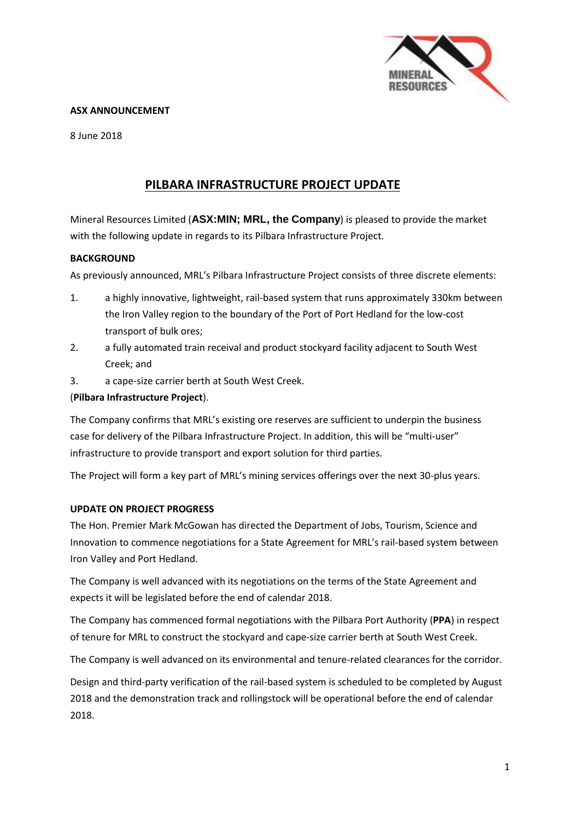

## **ASX ANNOUNCEMENT**

8 June 2018

# **PILBARA INFRASTRUCTURE PROJECT UPDATE**

Mineral Resources Limited (**ASX:MIN; MRL, the Company**) is pleased to provide the market with the following update in regards to its Pilbara Infrastructure Project.

## **BACKGROUND**

As previously announced, MRL's Pilbara Infrastructure Project consists of three discrete elements:

- 1. a highly innovative, lightweight, rail-based system that runs approximately 330km between the Iron Valley region to the boundary of the Port of Port Hedland for the low-cost transport of bulk ores;
- 2. a fully automated train receival and product stockyard facility adjacent to South West Creek; and
- 3. a cape-size carrier berth at South West Creek.

# (**Pilbara Infrastructure Project**).

The Company confirms that MRL's existing ore reserves are sufficient to underpin the business case for delivery of the Pilbara Infrastructure Project. In addition, this will be "multi-user" infrastructure to provide transport and export solution for third parties.

The Project will form a key part of MRL's mining services offerings over the next 30-plus years.

#### **UPDATE ON PROJECT PROGRESS**

The Hon. Premier Mark McGowan has directed the Department of Jobs, Tourism, Science and Innovation to commence negotiations for a State Agreement for MRL's rail-based system between Iron Valley and Port Hedland.

The Company is well advanced with its negotiations on the terms of the State Agreement and expects it will be legislated before the end of calendar 2018.

The Company has commenced formal negotiations with the Pilbara Port Authority (**PPA**) in respect of tenure for MRL to construct the stockyard and cape-size carrier berth at South West Creek.

The Company is well advanced on its environmental and tenure-related clearances for the corridor.

Design and third-party verification of the rail-based system is scheduled to be completed by August 2018 and the demonstration track and rollingstock will be operational before the end of calendar 2018.